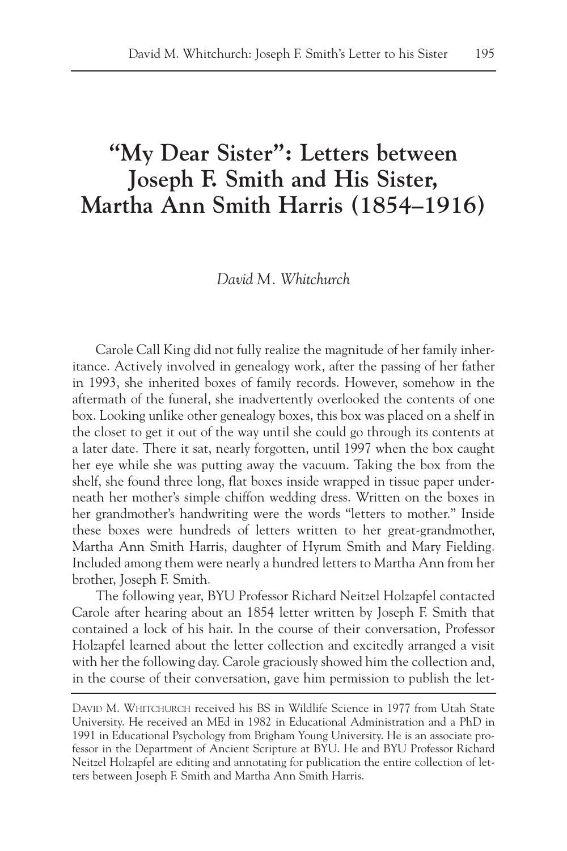# **"My Dear Sister": Letters between Joseph F. Smith and His Sister, Martha Ann Smith Harris (1854–1916)**

*David M. Whitchurch*

Carole Call King did not fully realize the magnitude of her family inheritance. Actively involved in genealogy work, after the passing of her father in 1993, she inherited boxes of family records. However, somehow in the aftermath of the funeral, she inadvertently overlooked the contents of one box. Looking unlike other genealogy boxes, this box was placed on a shelf in the closet to get it out of the way until she could go through its contents at a later date. There it sat, nearly forgotten, until 1997 when the box caught her eye while she was putting away the vacuum. Taking the box from the shelf, she found three long, flat boxes inside wrapped in tissue paper underneath her mother's simple chiffon wedding dress. Written on the boxes in her grandmother's handwriting were the words "letters to mother." Inside these boxes were hundreds of letters written to her great-grandmother, Martha Ann Smith Harris, daughter of Hyrum Smith and Mary Fielding. Included among them were nearly a hundred letters to Martha Ann from her brother, Joseph F. Smith.

The following year, BYU Professor Richard Neitzel Holzapfel contacted Carole after hearing about an 1854 letter written by Joseph F. Smith that contained a lock of his hair. In the course of their conversation, Professor Holzapfel learned about the letter collection and excitedly arranged a visit with her the following day. Carole graciously showed him the collection and, in the course of their conversation, gave him permission to publish the let-

DAVID M. WHITCHURCH received his BS in Wildlife Science in 1977 from Utah State University. He received an MEd in 1982 in Educational Administration and a PhD in 1991 in Educational Psychology from Brigham Young University. He is an associate professor in the Department of Ancient Scripture at BYU. He and BYU Professor Richard Neitzel Holzapfel are editing and annotating for publication the entire collection of letters between Joseph F. Smith and Martha Ann Smith Harris.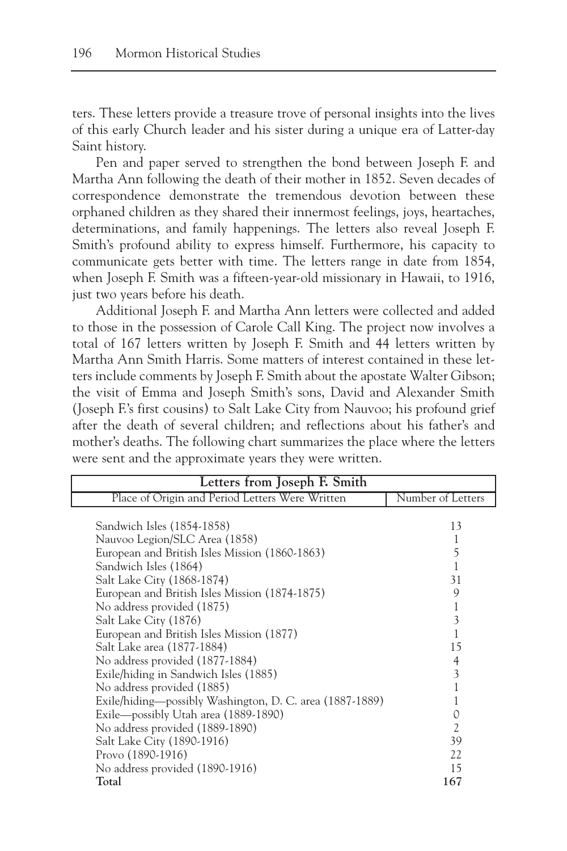ters. These letters provide a treasure trove of personal insights into the lives of this early Church leader and his sister during a unique era of Latter-day Saint history.

Pen and paper served to strengthen the bond between Joseph F. and Martha Ann following the death of their mother in 1852. Seven decades of correspondence demonstrate the tremendous devotion between these orphaned children as they shared their innermost feelings, joys, heartaches, determinations, and family happenings. The letters also reveal Joseph F. Smith's profound ability to express himself. Furthermore, his capacity to communicate gets better with time. The letters range in date from 1854, when Joseph F. Smith was a fifteen-year-old missionary in Hawaii, to 1916, just two years before his death.

Additional Joseph F. and Martha Ann letters were collected and added to those in the possession of Carole Call King. The project now involves a total of 167 letters written by Joseph F. Smith and 44 letters written by Martha Ann Smith Harris. Some matters of interest contained in these letters include comments by Joseph F. Smith about the apostate Walter Gibson; the visit of Emma and Joseph Smith's sons, David and Alexander Smith (Joseph F.'s first cousins) to Salt Lake City from Nauvoo; his profound grief after the death of several children; and reflections about his father's and mother's deaths. The following chart summarizes the place where the letters were sent and the approximate years they were written.

| Letters from Joseph F. Smith                             |                   |  |
|----------------------------------------------------------|-------------------|--|
| Place of Origin and Period Letters Were Written          | Number of Letters |  |
|                                                          |                   |  |
| Sandwich Isles (1854-1858)                               | 13                |  |
| Nauvoo Legion/SLC Area (1858)                            |                   |  |
| European and British Isles Mission (1860-1863)           | 5                 |  |
| Sandwich Isles (1864)                                    |                   |  |
| Salt Lake City (1868-1874)                               | 31                |  |
| European and British Isles Mission (1874-1875)           | 9                 |  |
| No address provided (1875)                               |                   |  |
| Salt Lake City (1876)                                    | 3                 |  |
| European and British Isles Mission (1877)                |                   |  |
| Salt Lake area (1877-1884)                               | 15                |  |
| No address provided (1877-1884)                          | 4                 |  |
| Exile/hiding in Sandwich Isles (1885)                    | 3                 |  |
| No address provided (1885)                               |                   |  |
| Exile/hiding—possibly Washington, D. C. area (1887-1889) |                   |  |
| Exile-possibly Utah area (1889-1890)                     | 0                 |  |
| No address provided (1889-1890)                          | $\overline{c}$    |  |
| Salt Lake City (1890-1916)                               | 39                |  |
| Provo (1890-1916)                                        | 22.               |  |
| No address provided (1890-1916)                          | 15                |  |
| Total                                                    | 167               |  |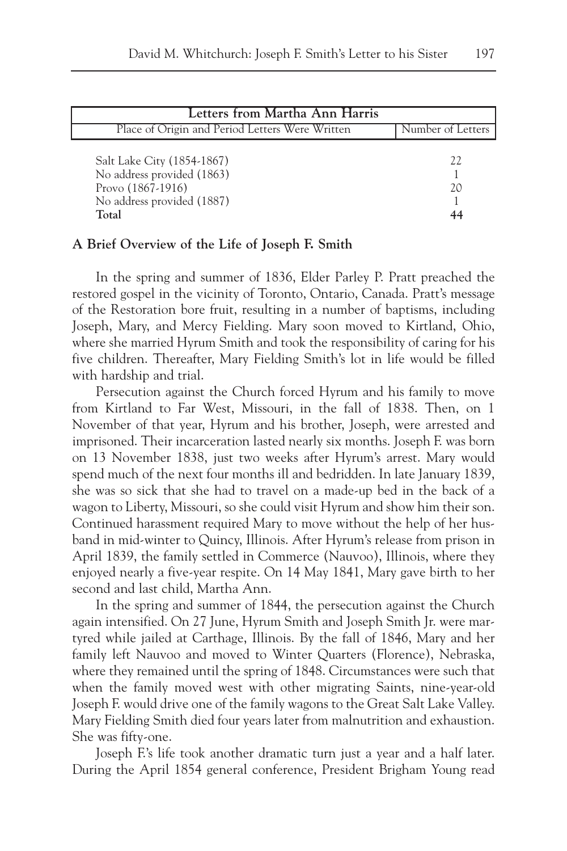| Letters from Martha Ann Harris                                                                                       |                   |
|----------------------------------------------------------------------------------------------------------------------|-------------------|
| Place of Origin and Period Letters Were Written                                                                      | Number of Letters |
| Salt Lake City (1854-1867)<br>No address provided (1863)<br>Provo (1867-1916)<br>No address provided (1887)<br>Total | 22<br>20          |

#### **A Brief Overview of the Life of Joseph F. Smith**

In the spring and summer of 1836, Elder Parley P. Pratt preached the restored gospel in the vicinity of Toronto, Ontario, Canada. Pratt's message of the Restoration bore fruit, resulting in a number of baptisms, including Joseph, Mary, and Mercy Fielding. Mary soon moved to Kirtland, Ohio, where she married Hyrum Smith and took the responsibility of caring for his five children. Thereafter, Mary Fielding Smith's lot in life would be filled with hardship and trial.

Persecution against the Church forced Hyrum and his family to move from Kirtland to Far West, Missouri, in the fall of 1838. Then, on 1 November of that year, Hyrum and his brother, Joseph, were arrested and imprisoned. Their incarceration lasted nearly six months. Joseph F. was born on 13 November 1838, just two weeks after Hyrum's arrest. Mary would spend much of the next four months ill and bedridden. In late January 1839, she was so sick that she had to travel on a made-up bed in the back of a wagon to Liberty, Missouri, so she could visit Hyrum and show him their son. Continued harassment required Mary to move without the help of her husband in mid-winter to Quincy, Illinois. After Hyrum's release from prison in April 1839, the family settled in Commerce (Nauvoo), Illinois, where they enjoyed nearly a five-year respite. On 14 May 1841, Mary gave birth to her second and last child, Martha Ann.

In the spring and summer of 1844, the persecution against the Church again intensified. On 27 June, Hyrum Smith and Joseph Smith Jr. were martyred while jailed at Carthage, Illinois. By the fall of 1846, Mary and her family left Nauvoo and moved to Winter Quarters (Florence), Nebraska, where they remained until the spring of 1848. Circumstances were such that when the family moved west with other migrating Saints, nine-year-old Joseph F. would drive one of the family wagons to the Great Salt Lake Valley. Mary Fielding Smith died four years later from malnutrition and exhaustion. She was fifty-one.

Joseph F.'s life took another dramatic turn just a year and a half later. During the April 1854 general conference, President Brigham Young read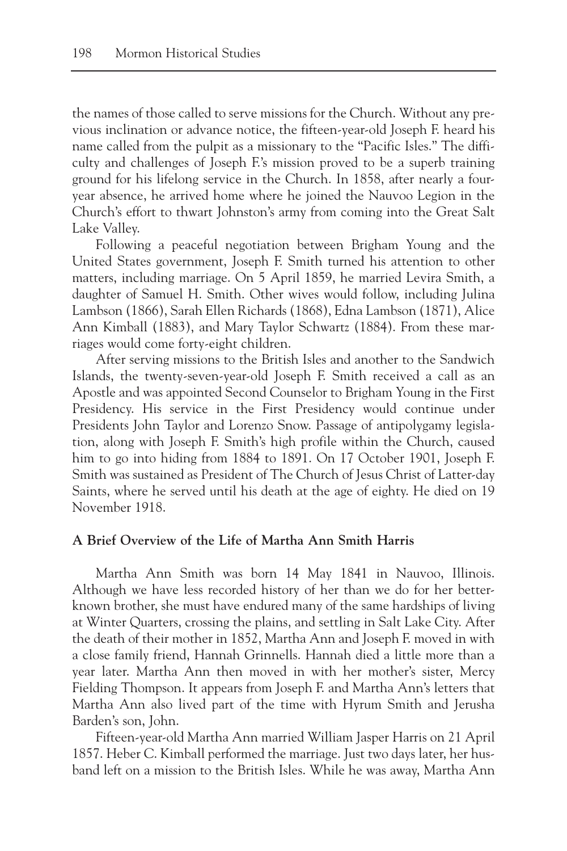the names of those called to serve missions for the Church. Without any previous inclination or advance notice, the fifteen-year-old Joseph F. heard his name called from the pulpit as a missionary to the "Pacific Isles." The difficulty and challenges of Joseph F.'s mission proved to be a superb training ground for his lifelong service in the Church. In 1858, after nearly a fouryear absence, he arrived home where he joined the Nauvoo Legion in the Church's effort to thwart Johnston's army from coming into the Great Salt Lake Valley.

Following a peaceful negotiation between Brigham Young and the United States government, Joseph F. Smith turned his attention to other matters, including marriage. On 5 April 1859, he married Levira Smith, a daughter of Samuel H. Smith. Other wives would follow, including Julina Lambson (1866), Sarah Ellen Richards (1868), Edna Lambson (1871), Alice Ann Kimball (1883), and Mary Taylor Schwartz (1884). From these marriages would come forty-eight children.

After serving missions to the British Isles and another to the Sandwich Islands, the twenty-seven-year-old Joseph F. Smith received a call as an Apostle and was appointed Second Counselor to Brigham Young in the First Presidency. His service in the First Presidency would continue under Presidents John Taylor and Lorenzo Snow. Passage of antipolygamy legislation, along with Joseph F. Smith's high profile within the Church, caused him to go into hiding from 1884 to 1891. On 17 October 1901, Joseph F. Smith was sustained as President of The Church of Jesus Christ of Latter-day Saints, where he served until his death at the age of eighty. He died on 19 November 1918.

## **A Brief Overview of the Life of Martha Ann Smith Harris**

Martha Ann Smith was born 14 May 1841 in Nauvoo, Illinois. Although we have less recorded history of her than we do for her betterknown brother, she must have endured many of the same hardships of living at Winter Quarters, crossing the plains, and settling in Salt Lake City. After the death of their mother in 1852, Martha Ann and Joseph F. moved in with a close family friend, Hannah Grinnells. Hannah died a little more than a year later. Martha Ann then moved in with her mother's sister, Mercy Fielding Thompson. It appears from Joseph F. and Martha Ann's letters that Martha Ann also lived part of the time with Hyrum Smith and Jerusha Barden's son, John.

Fifteen-year-old Martha Ann married William Jasper Harris on 21 April 1857. Heber C. Kimball performed the marriage. Just two days later, her husband left on a mission to the British Isles. While he was away, Martha Ann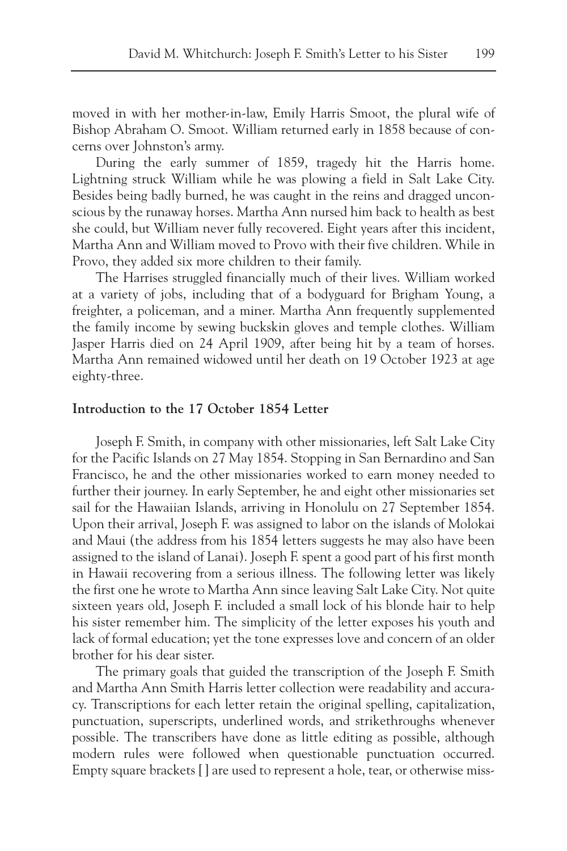moved in with her mother-in-law, Emily Harris Smoot, the plural wife of Bishop Abraham O. Smoot. William returned early in 1858 because of concerns over Johnston's army.

During the early summer of 1859, tragedy hit the Harris home. Lightning struck William while he was plowing a field in Salt Lake City. Besides being badly burned, he was caught in the reins and dragged unconscious by the runaway horses. Martha Ann nursed him back to health as best she could, but William never fully recovered. Eight years after this incident, Martha Ann and William moved to Provo with their five children. While in Provo, they added six more children to their family.

The Harrises struggled financially much of their lives. William worked at a variety of jobs, including that of a bodyguard for Brigham Young, a freighter, a policeman, and a miner. Martha Ann frequently supplemented the family income by sewing buckskin gloves and temple clothes. William Jasper Harris died on 24 April 1909, after being hit by a team of horses. Martha Ann remained widowed until her death on 19 October 1923 at age eighty-three.

### **Introduction to the 17 October 1854 Letter**

Joseph F. Smith, in company with other missionaries, left Salt Lake City for the Pacific Islands on 27 May 1854. Stopping in San Bernardino and San Francisco, he and the other missionaries worked to earn money needed to further their journey. In early September, he and eight other missionaries set sail for the Hawaiian Islands, arriving in Honolulu on 27 September 1854. Upon their arrival, Joseph F. was assigned to labor on the islands of Molokai and Maui (the address from his 1854 letters suggests he may also have been assigned to the island of Lanai). Joseph F. spent a good part of his first month in Hawaii recovering from a serious illness. The following letter was likely the first one he wrote to Martha Ann since leaving Salt Lake City. Not quite sixteen years old, Joseph F. included a small lock of his blonde hair to help his sister remember him. The simplicity of the letter exposes his youth and lack of formal education; yet the tone expresses love and concern of an older brother for his dear sister.

The primary goals that guided the transcription of the Joseph F. Smith and Martha Ann Smith Harris letter collection were readability and accuracy. Transcriptions for each letter retain the original spelling, capitalization, punctuation, superscripts, underlined words, and strikethroughs whenever possible. The transcribers have done as little editing as possible, although modern rules were followed when questionable punctuation occurred. Empty square brackets [ ] are used to represent a hole, tear, or otherwise miss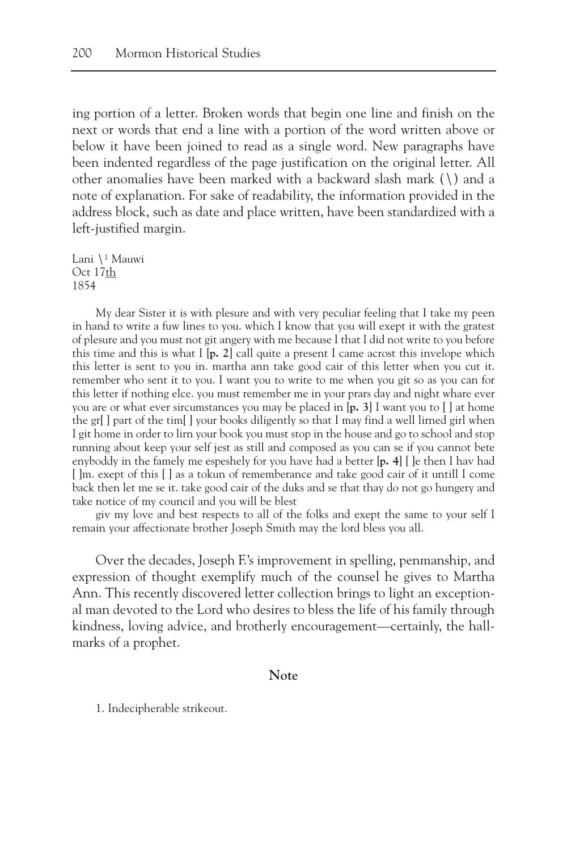ing portion of a letter. Broken words that begin one line and finish on the next or words that end a line with a portion of the word written above or below it have been joined to read as a single word. New paragraphs have been indented regardless of the page justification on the original letter. All other anomalies have been marked with a backward slash mark (\) and a note of explanation. For sake of readability, the information provided in the address block, such as date and place written, have been standardized with a left-justified margin.

Lani \1 Mauwi Oct 17th 1854

My dear Sister it is with plesure and with very peculiar feeling that I take my peen in hand to write a fuw lines to you. which I know that you will exept it with the gratest of plesure and you must not git angery with me because I that I did not write to you before this time and this is what I [**p. 2**] call quite a present I came acrost this invelope which this letter is sent to you in. martha ann take good cair of this letter when you cut it. remember who sent it to you. I want you to write to me when you git so as you can for this letter if nothing elce. you must remember me in your prars day and night whare ever you are or what ever sircumstances you may be placed in [**p. 3**] I want you to [ ] at home the gr[ ] part of the tim[ ] your books diligently so that I may find a well lirned girl when I git home in order to lirn your book you must stop in the house and go to school and stop running about keep your self jest as still and composed as you can se if you cannot bete enyboddy in the famely me espeshely for you have had a better [**p. 4**] [ ]e then I hav had [ ]m. exept of this [ ] as a tokun of rememberance and take good cair of it untill I come back then let me se it. take good cair of the duks and se that thay do not go hungery and take notice of my council and you will be blest

giv my love and best respects to all of the folks and exept the same to your self I remain your affectionate brother Joseph Smith may the lord bless you all.

Over the decades, Joseph F.'s improvement in spelling, penmanship, and expression of thought exemplify much of the counsel he gives to Martha Ann. This recently discovered letter collection brings to light an exceptional man devoted to the Lord who desires to bless the life of his family through kindness, loving advice, and brotherly encouragement—certainly, the hallmarks of a prophet.

## **Note**

1. Indecipherable strikeout.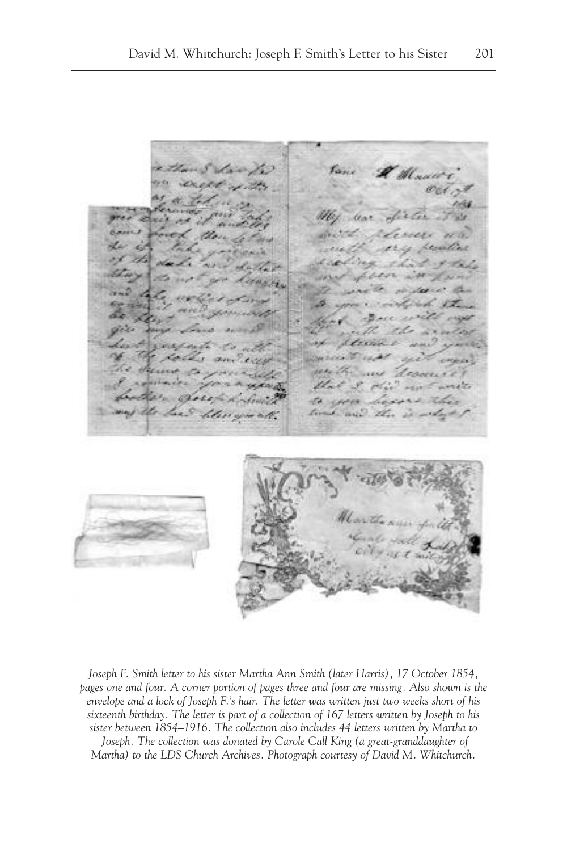A Mauri Gint i. uri di Corin - 5 W. S.  $-1000$ **HARAS** ali ke Zero decive تنعد **Since** march and all **OPORAL** see the **SALE** descente that I did not weren Br Borok to con hisser the may the Lees lite time and the is which

*Joseph F. Smith letter to his sister Martha Ann Smith (later Harris), 17 October 1854, pages one and four. A corner portion of pages three and four are missing. Also shown is the envelope and a lock of Joseph F.'s hair. The letter was written just two weeks short of his sixteenth birthday. The letter is part of a collection of 167 letters written by Joseph to his sister between 1854–1916. The collection also includes 44 letters written by Martha to* Joseph. The collection was donated by Carole Call King (a great-granddaughter of *Martha) to the LDS Church Archives. Photograph courtesy of David M. Whitchurch.*